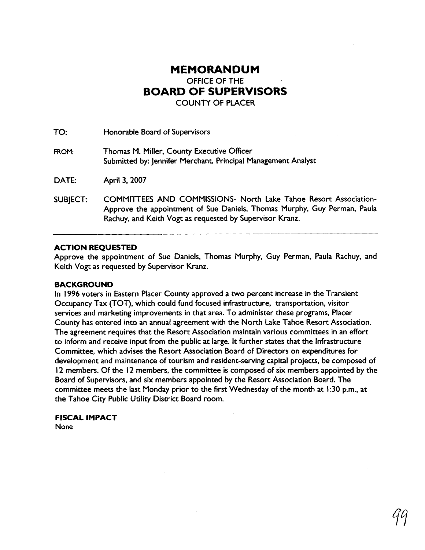## **MEMORANDUM**  OFFICE OF THE **BOARD OF SUPERVISORS**  COUNTY OF PLACER

TO: Honorable Board of Supervisors **FROM:** Thomas M. Miller, County Executive Officer Submitted by: Jennifer Merchant, Principal Management Analyst DATE: April 3, 2007 SUBJECT: COMMITTEES AND COMMISSIONS- North Lake Tahoe Resort Association-Approve the appointment of Sue Daniels, Thomas Murphy, Guy Perman, Paula

Rachuy, and Keith Vogt as requested by Supervisor Kranz.

## **ACTION REQUESTED**

Approve the appointment of Sue Daniels, Thomas Murphy, Guy Perman, Paula Rachuy, and Keith Vogt as requested by Supervisor Kranz.

## **BACKGROUND**

In 1996 voters in Eastern Placer County approved a two percent increase in the Transient Occupancy Tax (TOT), which could fund focused infrastructure, transportation, visitor services and marketing improvements in that area. To administer these programs, Placer County has entered into an annual agreement with the North Lake Tahoe Resort Association. The agreement requires that the Resort Association maintain various committees in an effort to inform and receive input from the public at large. It further states that the Infrastructure Committee, which advises the Resort Association Board of Directors on expenditures for development and maintenance of tourism and resident-serving capital projects, be composed of 12 members. Of the 12 members, the committee is composed of six members appointed by the Board of Supervisors, and six members appointed by the Resort Association Board. The committee meets the last Monday prior to the first Wednesday of the month at 1 :30 p.m., at the Tahoe City Public Utility District Board room.

## **FISCAL IMPACT**

**None**